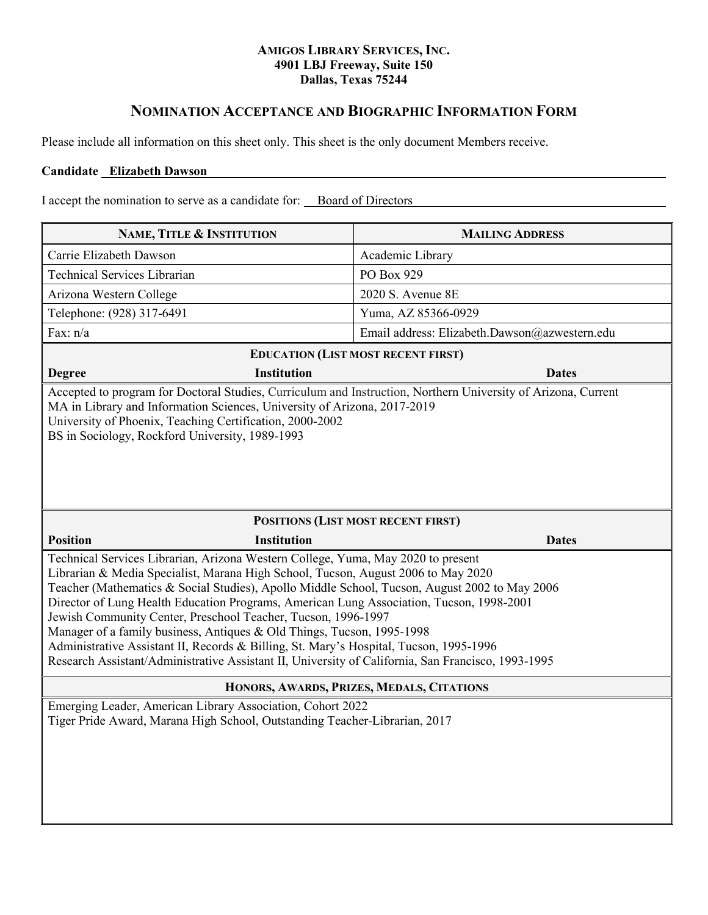#### **AMIGOS LIBRARY SERVICES, INC. 4901 LBJ Freeway, Suite 150 Dallas, Texas 75244**

# **NOMINATION ACCEPTANCE AND BIOGRAPHIC INFORMATION FORM**

Please include all information on this sheet only. This sheet is the only document Members receive.

### **Candidate Elizabeth Dawson**

I accept the nomination to serve as a candidate for: Board of Directors

| NAME, TITLE & INSTITUTION                                                                                                                                                                                                                                                                                                                                                                                                                                                                                                                                                                                                                                                                                     | <b>MAILING ADDRESS</b>                        |
|---------------------------------------------------------------------------------------------------------------------------------------------------------------------------------------------------------------------------------------------------------------------------------------------------------------------------------------------------------------------------------------------------------------------------------------------------------------------------------------------------------------------------------------------------------------------------------------------------------------------------------------------------------------------------------------------------------------|-----------------------------------------------|
| Carrie Elizabeth Dawson                                                                                                                                                                                                                                                                                                                                                                                                                                                                                                                                                                                                                                                                                       | Academic Library                              |
| <b>Technical Services Librarian</b>                                                                                                                                                                                                                                                                                                                                                                                                                                                                                                                                                                                                                                                                           | PO Box 929                                    |
| Arizona Western College                                                                                                                                                                                                                                                                                                                                                                                                                                                                                                                                                                                                                                                                                       | 2020 S. Avenue 8E                             |
| Telephone: (928) 317-6491                                                                                                                                                                                                                                                                                                                                                                                                                                                                                                                                                                                                                                                                                     | Yuma, AZ 85366-0929                           |
| Fax: $n/a$                                                                                                                                                                                                                                                                                                                                                                                                                                                                                                                                                                                                                                                                                                    | Email address: Elizabeth.Dawson@azwestern.edu |
| <b>EDUCATION (LIST MOST RECENT FIRST)</b>                                                                                                                                                                                                                                                                                                                                                                                                                                                                                                                                                                                                                                                                     |                                               |
| <b>Institution</b><br><b>Degree</b>                                                                                                                                                                                                                                                                                                                                                                                                                                                                                                                                                                                                                                                                           | <b>Dates</b>                                  |
| MA in Library and Information Sciences, University of Arizona, 2017-2019<br>University of Phoenix, Teaching Certification, 2000-2002<br>BS in Sociology, Rockford University, 1989-1993                                                                                                                                                                                                                                                                                                                                                                                                                                                                                                                       |                                               |
| POSITIONS (LIST MOST RECENT FIRST)                                                                                                                                                                                                                                                                                                                                                                                                                                                                                                                                                                                                                                                                            |                                               |
| <b>Position</b><br><b>Institution</b>                                                                                                                                                                                                                                                                                                                                                                                                                                                                                                                                                                                                                                                                         | <b>Dates</b>                                  |
| Technical Services Librarian, Arizona Western College, Yuma, May 2020 to present<br>Librarian & Media Specialist, Marana High School, Tucson, August 2006 to May 2020<br>Teacher (Mathematics & Social Studies), Apollo Middle School, Tucson, August 2002 to May 2006<br>Director of Lung Health Education Programs, American Lung Association, Tucson, 1998-2001<br>Jewish Community Center, Preschool Teacher, Tucson, 1996-1997<br>Manager of a family business, Antiques & Old Things, Tucson, 1995-1998<br>Administrative Assistant II, Records & Billing, St. Mary's Hospital, Tucson, 1995-1996<br>Research Assistant/Administrative Assistant II, University of California, San Francisco, 1993-1995 |                                               |
| HONORS, AWARDS, PRIZES, MEDALS, CITATIONS                                                                                                                                                                                                                                                                                                                                                                                                                                                                                                                                                                                                                                                                     |                                               |
| Emerging Leader, American Library Association, Cohort 2022<br>Tiger Pride Award, Marana High School, Outstanding Teacher-Librarian, 2017                                                                                                                                                                                                                                                                                                                                                                                                                                                                                                                                                                      |                                               |